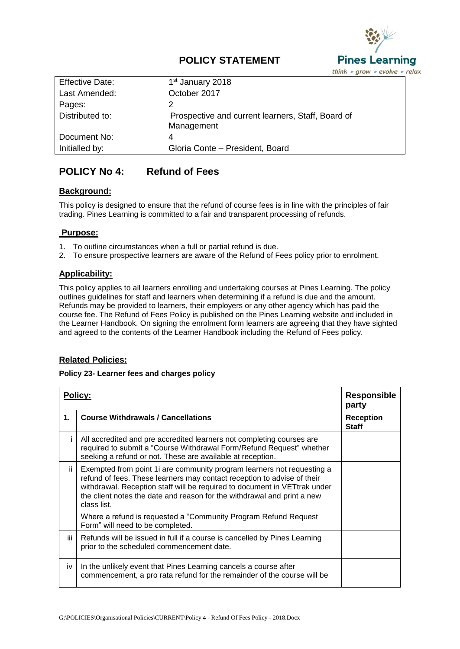

# **POLICY STATEMENT**

| <b>Effective Date:</b> | 1 <sup>st</sup> January 2018                                    |
|------------------------|-----------------------------------------------------------------|
| Last Amended:          | October 2017                                                    |
| Pages:                 |                                                                 |
| Distributed to:        | Prospective and current learners, Staff, Board of<br>Management |
| Document No:           | 4                                                               |
| Initialled by:         | Gloria Conte - President, Board                                 |

# **POLICY No 4: Refund of Fees**

#### **Background:**

This policy is designed to ensure that the refund of course fees is in line with the principles of fair trading. Pines Learning is committed to a fair and transparent processing of refunds.

#### **Purpose:**

- 1. To outline circumstances when a full or partial refund is due.
- 2. To ensure prospective learners are aware of the Refund of Fees policy prior to enrolment.

## **Applicability:**

This policy applies to all learners enrolling and undertaking courses at Pines Learning. The policy outlines guidelines for staff and learners when determining if a refund is due and the amount. Refunds may be provided to learners, their employers or any other agency which has paid the course fee. The Refund of Fees Policy is published on the Pines Learning website and included in the Learner Handbook. On signing the enrolment form learners are agreeing that they have sighted and agreed to the contents of the Learner Handbook including the Refund of Fees policy.

## **Related Policies:**

#### **Policy 23- Learner fees and charges policy**

| <b>Policy:</b> |                                                                                                                                                                                                                                                                                                                         | <b>Responsible</b><br>party      |
|----------------|-------------------------------------------------------------------------------------------------------------------------------------------------------------------------------------------------------------------------------------------------------------------------------------------------------------------------|----------------------------------|
| 1.             | <b>Course Withdrawals / Cancellations</b>                                                                                                                                                                                                                                                                               | <b>Reception</b><br><b>Staff</b> |
|                | All accredited and pre accredited learners not completing courses are<br>required to submit a "Course Withdrawal Form/Refund Request" whether<br>seeking a refund or not. These are available at reception.                                                                                                             |                                  |
| ii.            | Exempted from point 1 are community program learners not requesting a<br>refund of fees. These learners may contact reception to advise of their<br>withdrawal. Reception staff will be required to document in VETtrak under<br>the client notes the date and reason for the withdrawal and print a new<br>class list. |                                  |
|                | Where a refund is requested a "Community Program Refund Request<br>Form" will need to be completed.                                                                                                                                                                                                                     |                                  |
| iii            | Refunds will be issued in full if a course is cancelled by Pines Learning<br>prior to the scheduled commencement date.                                                                                                                                                                                                  |                                  |
| iv             | In the unlikely event that Pines Learning cancels a course after<br>commencement, a pro rata refund for the remainder of the course will be                                                                                                                                                                             |                                  |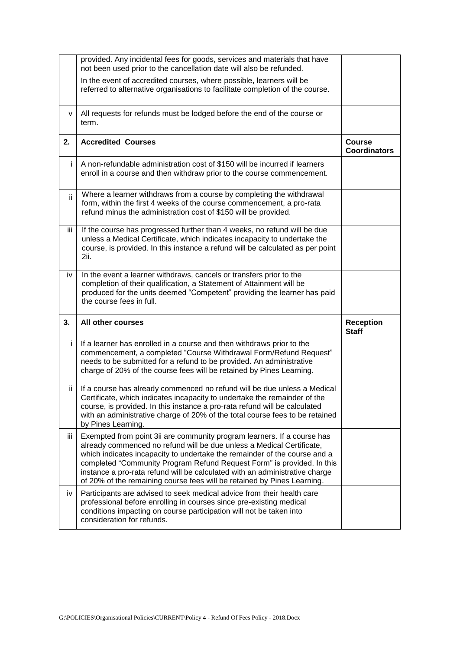|     | provided. Any incidental fees for goods, services and materials that have<br>not been used prior to the cancellation date will also be refunded.                                                                                                                                                                                                                                                                                                                  |                                      |
|-----|-------------------------------------------------------------------------------------------------------------------------------------------------------------------------------------------------------------------------------------------------------------------------------------------------------------------------------------------------------------------------------------------------------------------------------------------------------------------|--------------------------------------|
|     | In the event of accredited courses, where possible, learners will be<br>referred to alternative organisations to facilitate completion of the course.                                                                                                                                                                                                                                                                                                             |                                      |
| v   | All requests for refunds must be lodged before the end of the course or<br>term.                                                                                                                                                                                                                                                                                                                                                                                  |                                      |
| 2.  | <b>Accredited Courses</b>                                                                                                                                                                                                                                                                                                                                                                                                                                         | <b>Course</b><br><b>Coordinators</b> |
| Ť   | A non-refundable administration cost of \$150 will be incurred if learners<br>enroll in a course and then withdraw prior to the course commencement.                                                                                                                                                                                                                                                                                                              |                                      |
| ii. | Where a learner withdraws from a course by completing the withdrawal<br>form, within the first 4 weeks of the course commencement, a pro-rata<br>refund minus the administration cost of \$150 will be provided.                                                                                                                                                                                                                                                  |                                      |
| Ш   | If the course has progressed further than 4 weeks, no refund will be due<br>unless a Medical Certificate, which indicates incapacity to undertake the<br>course, is provided. In this instance a refund will be calculated as per point<br>2ii.                                                                                                                                                                                                                   |                                      |
| iv  | In the event a learner withdraws, cancels or transfers prior to the<br>completion of their qualification, a Statement of Attainment will be<br>produced for the units deemed "Competent" providing the learner has paid                                                                                                                                                                                                                                           |                                      |
|     | the course fees in full.                                                                                                                                                                                                                                                                                                                                                                                                                                          |                                      |
| 3.  | All other courses                                                                                                                                                                                                                                                                                                                                                                                                                                                 | <b>Reception</b><br><b>Staff</b>     |
| Ť   | If a learner has enrolled in a course and then withdraws prior to the<br>commencement, a completed "Course Withdrawal Form/Refund Request"<br>needs to be submitted for a refund to be provided. An administrative<br>charge of 20% of the course fees will be retained by Pines Learning.                                                                                                                                                                        |                                      |
| ii. | If a course has already commenced no refund will be due unless a Medical<br>Certificate, which indicates incapacity to undertake the remainder of the<br>course, is provided. In this instance a pro-rata refund will be calculated<br>with an administrative charge of 20% of the total course fees to be retained<br>by Pines Learning.                                                                                                                         |                                      |
| Ш   | Exempted from point 3ii are community program learners. If a course has<br>already commenced no refund will be due unless a Medical Certificate,<br>which indicates incapacity to undertake the remainder of the course and a<br>completed "Community Program Refund Request Form" is provided. In this<br>instance a pro-rata refund will be calculated with an administrative charge<br>of 20% of the remaining course fees will be retained by Pines Learning. |                                      |